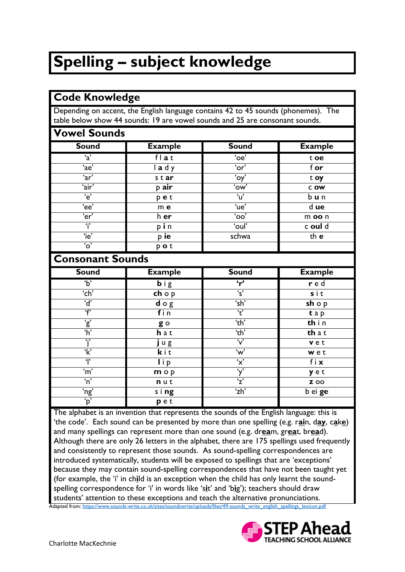## **Spelling – subject knowledge**

| <b>Code Knowledge</b>            |                                                                                                                                                                    |                          |                |  |
|----------------------------------|--------------------------------------------------------------------------------------------------------------------------------------------------------------------|--------------------------|----------------|--|
|                                  | Depending on accent, the English language contains 42 to 45 sounds (phonemes). The<br>table below show 44 sounds: 19 are vowel sounds and 25 are consonant sounds. |                          |                |  |
| <b>Vowel Sounds</b>              |                                                                                                                                                                    |                          |                |  |
| <b>Sound</b>                     | <b>Example</b>                                                                                                                                                     | <b>Sound</b>             | <b>Example</b> |  |
| $\overline{a'}$                  | flat                                                                                                                                                               | 'oe'                     | t oe           |  |
| 'ae'                             | lady                                                                                                                                                               | 'or'                     | f or           |  |
| 'ar'                             | star                                                                                                                                                               | $\overline{\omega}$      | t oy           |  |
| 'air'                            | p air                                                                                                                                                              | 'ow'                     | $C$ OW         |  |
| $\overline{e}$                   | pet                                                                                                                                                                | $\overline{u'}$          | bun            |  |
| 'ee'                             | m <sub>e</sub>                                                                                                                                                     | 'ue'                     | d ue           |  |
| 'er'                             | h er                                                                                                                                                               | $\overline{\text{`oo'}}$ | m oo n         |  |
| $\dddot{1}$                      | pin                                                                                                                                                                | 'oul'                    | c oul d        |  |
| 'ie'                             | p ie                                                                                                                                                               | schwa                    | th e           |  |
| $\overline{\omega}$              | pot                                                                                                                                                                |                          |                |  |
| <b>Consonant Sounds</b>          |                                                                                                                                                                    |                          |                |  |
| <b>Sound</b>                     | <b>Example</b>                                                                                                                                                     | <b>Sound</b>             | <b>Example</b> |  |
| $\overline{b}$                   | big                                                                                                                                                                | $\mathbf{r}'$            | r e d          |  |
| 'ch'                             | $ch$ o p                                                                                                                                                           | $\overline{\mathsf{s}'}$ | sit            |  |
| $\overline{d}$                   | $d \circ g$                                                                                                                                                        | 'sh'                     | $sh$ o $p$     |  |
| $\overline{\mathsf{f}^{\prime}}$ | fin                                                                                                                                                                | $\overline{\mathbf{t}}$  | tap            |  |
| $\frac{1}{2}$                    | g o                                                                                                                                                                | 'th'                     | thin           |  |
|                                  | h a t                                                                                                                                                              | 'th'                     | th a t         |  |
| 'j'                              | jug                                                                                                                                                                | $\overline{v}$           | vet            |  |
| $\overline{\mathbf{k}}$          | kit                                                                                                                                                                | 'w'                      | wet            |  |
| $\mathbf{r}$                     | $\overline{I}$ i p                                                                                                                                                 | 'x'                      | fix            |  |
| 'm'                              | $m \circ p$                                                                                                                                                        | 'y'                      | yet            |  |
| $\overline{\mathsf{n}}$          | nut                                                                                                                                                                | $\overline{z}$           | <b>Z</b> 00    |  |

The alphabet is an invention that represents the sounds of the English language: this is 'the code'. Each sound can be presented by more than one spelling (e.g. r**ai**n, d**ay**, c**a**k**e**) and many spellings can represent more than one sound (e.g. dr**ea**m, gr**ea**t, br**ea**d). Although there are only 26 letters in the alphabet, there are 175 spellings used frequently and consistently to represent those sounds. As sound-spelling correspondences are introduced systematically, students will be exposed to spellings that are 'exceptions' because they may contain sound-spelling correspondences that have not been taught yet (for example, the 'i' in ch**i**ld is an exception when the child has only learnt the soundspelling correspondence for 'i' in words like 's**i**t' and 'b**i**g'); teachers should draw students' attention to these exceptions and teach the alternative pronunciations. Adapted from[: https://www.sounds-write.co.uk/sites/soundswrite/uploads/files/49-sounds\\_write\\_english\\_spellings\\_lexicon.pdf](https://www.sounds-write.co.uk/sites/soundswrite/uploads/files/49-sounds_write_english_spellings_lexicon.pdf)

'ng' s i **ng** 'zh' b ei **ge**



'p' **p** e t